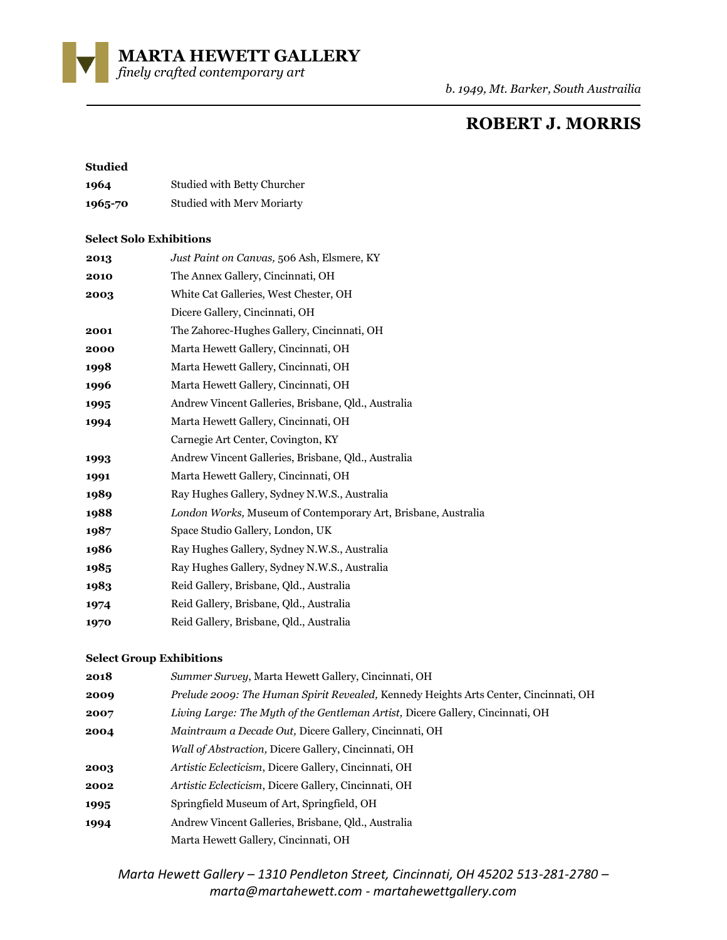**MARTA HEWETT GALLERY** 

*finely crafted contemporary art* 

*b. 1949, Mt. Barker, South Austrailia*

# **ROBERT J. MORRIS**

#### **Studied**

| 1964    | Studied with Betty Churcher |
|---------|-----------------------------|
| 1965-70 | Studied with Merv Moriarty  |

#### **Select Solo Exhibitions**

| 2013 | Just Paint on Canvas, 506 Ash, Elsmere, KY                    |
|------|---------------------------------------------------------------|
| 2010 | The Annex Gallery, Cincinnati, OH                             |
| 2003 | White Cat Galleries, West Chester, OH                         |
|      | Dicere Gallery, Cincinnati, OH                                |
| 2001 | The Zahorec-Hughes Gallery, Cincinnati, OH                    |
| 2000 | Marta Hewett Gallery, Cincinnati, OH                          |
| 1998 | Marta Hewett Gallery, Cincinnati, OH                          |
| 1996 | Marta Hewett Gallery, Cincinnati, OH                          |
| 1995 | Andrew Vincent Galleries, Brisbane, Qld., Australia           |
| 1994 | Marta Hewett Gallery, Cincinnati, OH                          |
|      | Carnegie Art Center, Covington, KY                            |
| 1993 | Andrew Vincent Galleries, Brisbane, Qld., Australia           |
| 1991 | Marta Hewett Gallery, Cincinnati, OH                          |
| 1989 | Ray Hughes Gallery, Sydney N.W.S., Australia                  |
| 1988 | London Works, Museum of Contemporary Art, Brisbane, Australia |
| 1987 | Space Studio Gallery, London, UK                              |
| 1986 | Ray Hughes Gallery, Sydney N.W.S., Australia                  |
| 1985 | Ray Hughes Gallery, Sydney N.W.S., Australia                  |
| 1983 | Reid Gallery, Brisbane, Qld., Australia                       |
| 1974 | Reid Gallery, Brisbane, Old., Australia                       |
| 1970 | Reid Gallery, Brisbane, Qld., Australia                       |

### **Select Group Exhibitions**

| 2018 | Summer Survey, Marta Hewett Gallery, Cincinnati, OH                                  |
|------|--------------------------------------------------------------------------------------|
| 2009 | Prelude 2009: The Human Spirit Revealed, Kennedy Heights Arts Center, Cincinnati, OH |
| 2007 | Living Large: The Myth of the Gentleman Artist, Dicere Gallery, Cincinnati, OH       |
| 2004 | <i>Maintraum a Decade Out, Dicere Gallery, Cincinnati, OH</i>                        |
|      | <i>Wall of Abstraction, Dicere Gallery, Cincinnati, OH</i>                           |
| 2003 | <i>Artistic Eclecticism, Dicere Gallery, Cincinnati, OH</i>                          |
| 2002 | Artistic Eclecticism, Dicere Gallery, Cincinnati, OH                                 |
| 1995 | Springfield Museum of Art, Springfield, OH                                           |
| 1994 | Andrew Vincent Galleries, Brisbane, Old., Australia                                  |
|      | Marta Hewett Gallery, Cincinnati, OH                                                 |

*Marta Hewett Gallery – 1310 Pendleton Street, Cincinnati, OH 45202 513-281-2780 – marta@martahewett.com - martahewettgallery.com*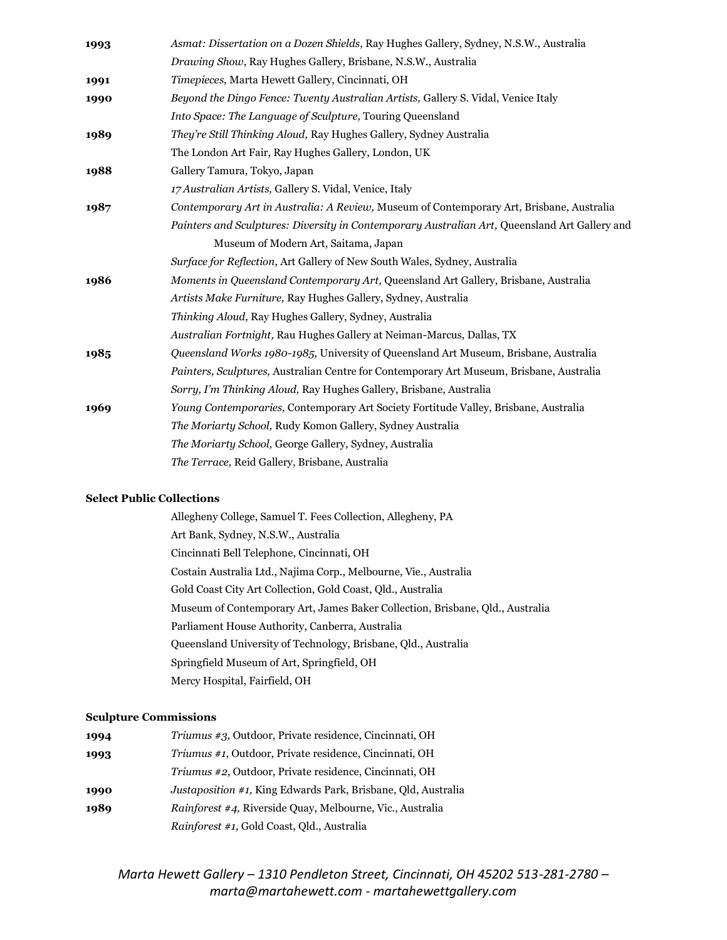| 1993 | Asmat: Dissertation on a Dozen Shields, Ray Hughes Gallery, Sydney, N.S.W., Australia         |
|------|-----------------------------------------------------------------------------------------------|
|      | Drawing Show, Ray Hughes Gallery, Brisbane, N.S.W., Australia                                 |
| 1991 | Timepieces, Marta Hewett Gallery, Cincinnati, OH                                              |
| 1990 | Beyond the Dingo Fence: Twenty Australian Artists, Gallery S. Vidal, Venice Italy             |
|      | <i>Into Space: The Language of Sculpture, Touring Queensland</i>                              |
| 1989 | They're Still Thinking Aloud, Ray Hughes Gallery, Sydney Australia                            |
|      | The London Art Fair, Ray Hughes Gallery, London, UK                                           |
| 1988 | Gallery Tamura, Tokyo, Japan                                                                  |
|      | 17 Australian Artists, Gallery S. Vidal, Venice, Italy                                        |
| 1987 | Contemporary Art in Australia: A Review, Museum of Contemporary Art, Brisbane, Australia      |
|      | Painters and Sculptures: Diversity in Contemporary Australian Art, Queensland Art Gallery and |
|      | Museum of Modern Art, Saitama, Japan                                                          |
|      | Surface for Reflection, Art Gallery of New South Wales, Sydney, Australia                     |
| 1986 | Moments in Queensland Contemporary Art, Queensland Art Gallery, Brisbane, Australia           |
|      | Artists Make Furniture, Ray Hughes Gallery, Sydney, Australia                                 |
|      | <i>Thinking Aloud, Ray Hughes Gallery, Sydney, Australia</i>                                  |
|      | Australian Fortnight, Rau Hughes Gallery at Neiman-Marcus, Dallas, TX                         |
| 1985 | <i>Queensland Works 1980-1985</i> , University of Queensland Art Museum, Brisbane, Australia  |
|      | Painters, Sculptures, Australian Centre for Contemporary Art Museum, Brisbane, Australia      |
|      | Sorry, I'm Thinking Aloud, Ray Hughes Gallery, Brisbane, Australia                            |
| 1969 | <i>Young Contemporaries, Contemporary Art Society Fortitude Valley, Brisbane, Australia</i>   |
|      | The Moriarty School, Rudy Komon Gallery, Sydney Australia                                     |
|      | The Moriarty School, George Gallery, Sydney, Australia                                        |
|      | The Terrace, Reid Gallery, Brisbane, Australia                                                |

## **Select Public Collections**

Allegheny College, Samuel T. Fees Collection, Allegheny, PA Art Bank, Sydney, N.S.W., Australia Cincinnati Bell Telephone, Cincinnati, OH Costain Australia Ltd., Najima Corp., Melbourne, Vie., Australia Gold Coast City Art Collection, Gold Coast, Qld., Australia Museum of Contemporary Art, James Baker Collection, Brisbane, Qld., Australia Parliament House Authority, Canberra, Australia Queensland University of Technology, Brisbane, Qld., Australia Springfield Museum of Art, Springfield, OH Mercy Hospital, Fairfield, OH

#### **Sculpture Commissions**

| 1994 | <i>Triumus #3, Outdoor, Private residence, Cincinnati, OH</i>        |
|------|----------------------------------------------------------------------|
| 1993 | Triumus #1, Outdoor, Private residence, Cincinnati, OH               |
|      | <i>Triumus #2</i> , Outdoor, Private residence, Cincinnati, OH       |
| 1990 | <i>Justaposition #1, King Edwards Park, Brisbane, Old, Australia</i> |
| 1989 | <i>Rainforest #4, Riverside Quay, Melbourne, Vic., Australia</i>     |
|      | Rainforest #1, Gold Coast, Qld., Australia                           |

*Marta Hewett Gallery – 1310 Pendleton Street, Cincinnati, OH 45202 513-281-2780 – marta@martahewett.com - martahewettgallery.com*